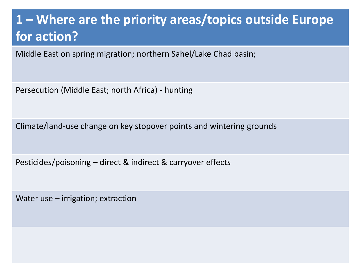## **1 – Where are the priority areas/topics outside Europe for action?**

Middle East on spring migration; northern Sahel/Lake Chad basin;

Persecution (Middle East; north Africa) - hunting

Climate/land-use change on key stopover points and wintering grounds

Pesticides/poisoning – direct & indirect & carryover effects

Water use – irrigation; extraction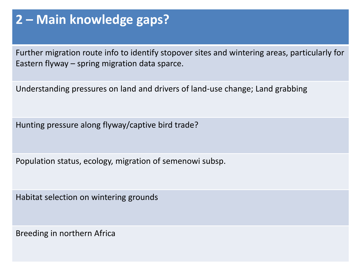#### **2 – Main knowledge gaps?**

Further migration route info to identify stopover sites and wintering areas, particularly for Eastern flyway – spring migration data sparce.

Understanding pressures on land and drivers of land-use change; Land grabbing

Hunting pressure along flyway/captive bird trade?

Population status, ecology, migration of semenowi subsp.

Habitat selection on wintering grounds

Breeding in northern Africa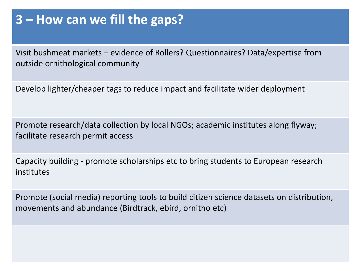#### **3 – How can we fill the gaps?**

Visit bushmeat markets – evidence of Rollers? Questionnaires? Data/expertise from outside ornithological community

Develop lighter/cheaper tags to reduce impact and facilitate wider deployment

Promote research/data collection by local NGOs; academic institutes along flyway; facilitate research permit access

Capacity building - promote scholarships etc to bring students to European research institutes

Promote (social media) reporting tools to build citizen science datasets on distribution, movements and abundance (Birdtrack, ebird, ornitho etc)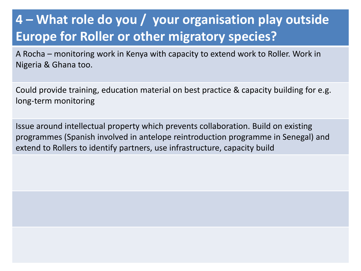## **4 – What role do you / your organisation play outside Europe for Roller or other migratory species?**

A Rocha – monitoring work in Kenya with capacity to extend work to Roller. Work in Nigeria & Ghana too.

Could provide training, education material on best practice & capacity building for e.g. long-term monitoring

Issue around intellectual property which prevents collaboration. Build on existing programmes (Spanish involved in antelope reintroduction programme in Senegal) and extend to Rollers to identify partners, use infrastructure, capacity build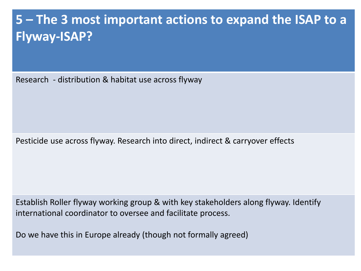## **5 – The 3 most important actions to expand the ISAP to a Flyway-ISAP?**

Research - distribution & habitat use across flyway

Pesticide use across flyway. Research into direct, indirect & carryover effects

Establish Roller flyway working group & with key stakeholders along flyway. Identify international coordinator to oversee and facilitate process.

Do we have this in Europe already (though not formally agreed)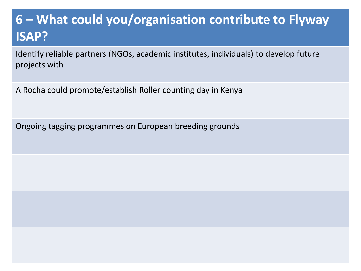## **6 – What could you/organisation contribute to Flyway ISAP?**

Identify reliable partners (NGOs, academic institutes, individuals) to develop future projects with

A Rocha could promote/establish Roller counting day in Kenya

Ongoing tagging programmes on European breeding grounds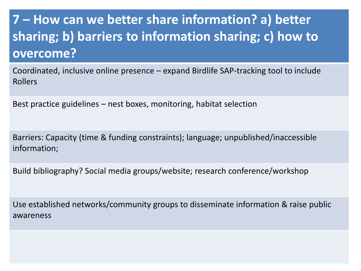# **7 – How can we better share information? a) better sharing; b) barriers to information sharing; c) how to overcome?**

Coordinated, inclusive online presence – expand Birdlife SAP-tracking tool to include Rollers

Best practice guidelines – nest boxes, monitoring, habitat selection

Barriers: Capacity (time & funding constraints); language; unpublished/inaccessible information;

Build bibliography? Social media groups/website; research conference/workshop

Use established networks/community groups to disseminate information & raise public awareness